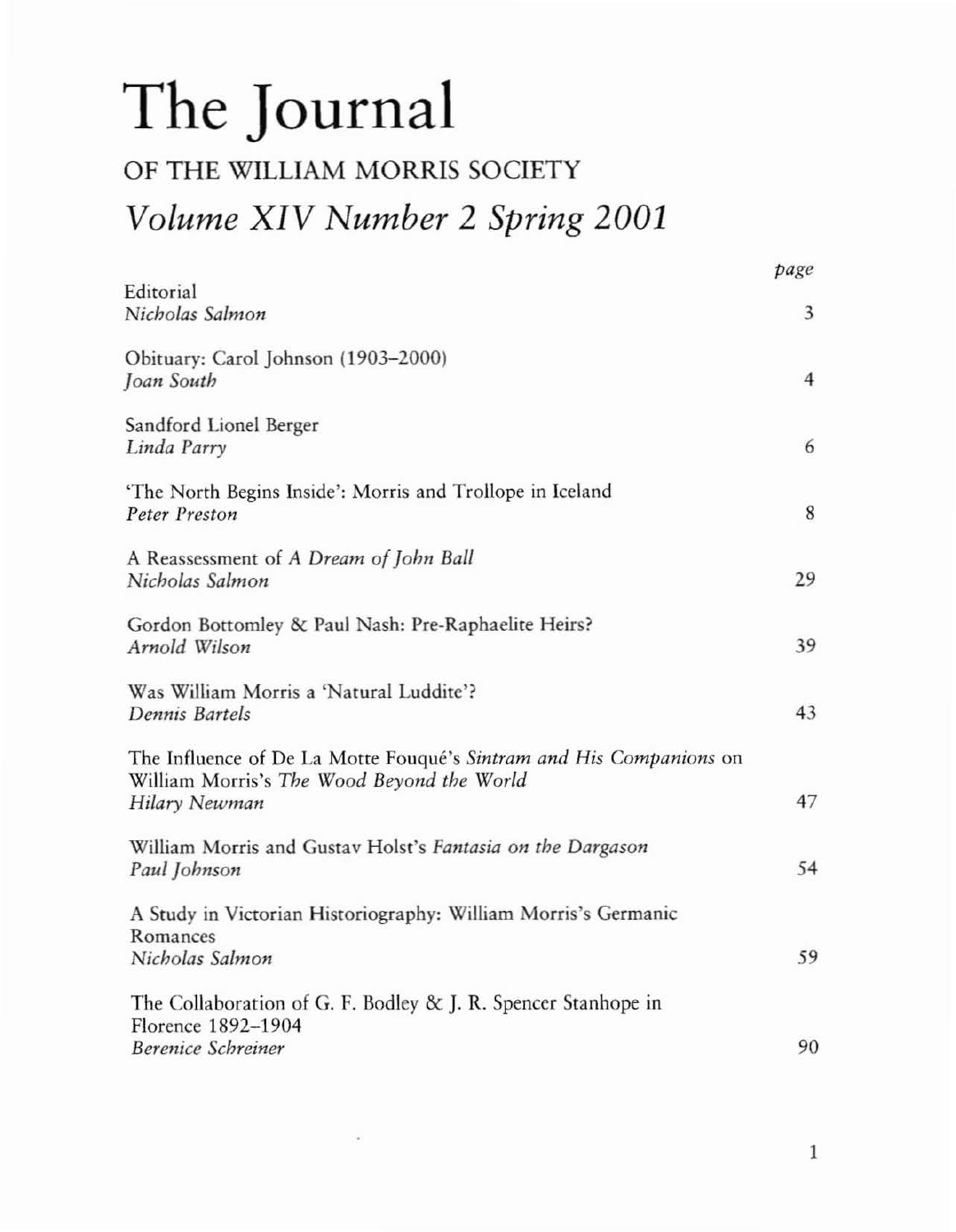## **The Journal**

## OF THE WILLIAM MORRIS SOCIETY

## *Volume XIV Number* 2 *Spring 2001*

|                                                                                                                                    | page           |
|------------------------------------------------------------------------------------------------------------------------------------|----------------|
| Editorial<br>Nicholas Salmon                                                                                                       | 3              |
| Obituary: Carol Johnson (1903-2000)<br>Joan South                                                                                  | $\overline{4}$ |
| Sandford Lionel Berger<br>Linda Parry                                                                                              | 6              |
| 'The North Begins Inside': Morris and Trollope in Iceland<br>Peter Preston                                                         | 8              |
| A Reassessment of A Dream of John Ball<br>Nicholas Salmon                                                                          | 29             |
| Gordon Bottomley & Paul Nash: Pre-Raphaelite Heirs?<br>Arnold Wilson                                                               | 39             |
| Was William Morris a 'Natural Luddite'?<br>Dennis Bartels                                                                          | 43             |
| The Influence of De La Motte Fouqué's Sintram and His Companions on<br>William Morris's The Wood Beyond the World<br>Hilary Newman | 47             |
| William Morris and Gustav Holst's Fantasia on the Dargason<br>Paul Johnson                                                         | 54             |
| A Study in Victorian Historiography: William Morris's Germanic<br>Romances<br>Nicholas Salmon                                      | 59             |
| The Collaboration of G. F. Bodley & J. R. Spencer Stanhope in<br>Florence 1892-1904<br><b>Berenice Schreiner</b>                   | 90             |

1